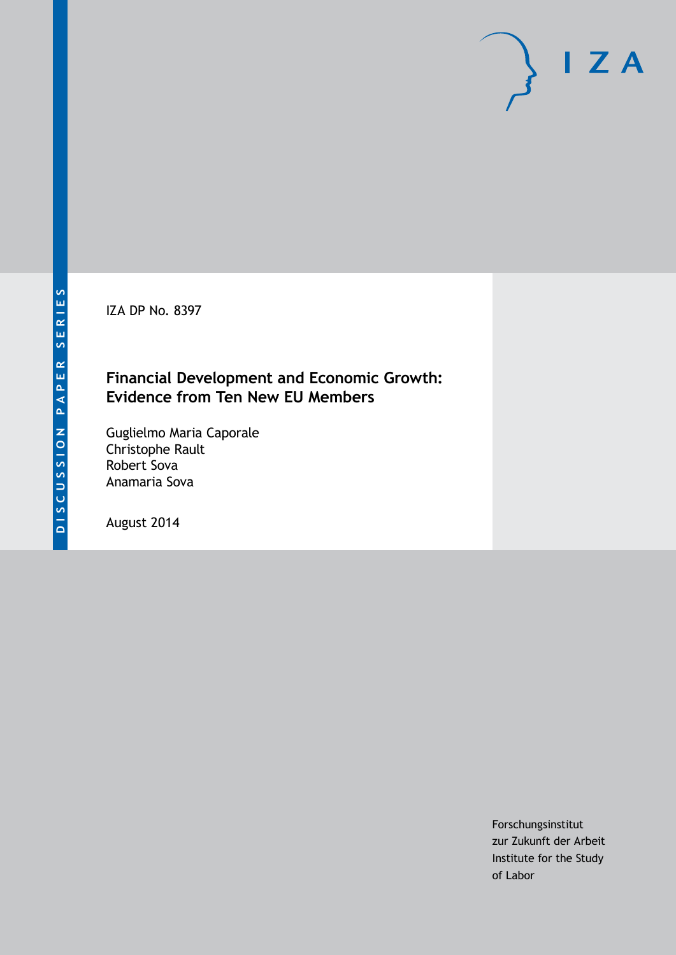IZA DP No. 8397

# **Financial Development and Economic Growth: Evidence from Ten New EU Members**

Guglielmo Maria Caporale Christophe Rault Robert Sova Anamaria Sova

August 2014

Forschungsinstitut zur Zukunft der Arbeit Institute for the Study of Labor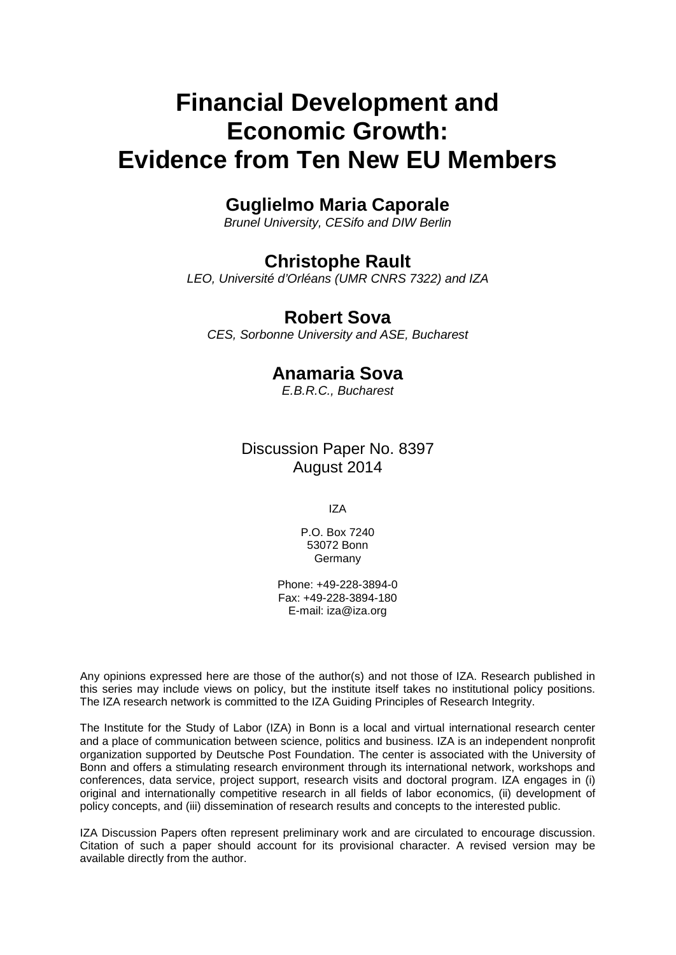# **Financial Development and Economic Growth: Evidence from Ten New EU Members**

# **Guglielmo Maria Caporale**

*Brunel University, CESifo and DIW Berlin*

# **Christophe Rault**

*LEO, Université d'Orléans (UMR CNRS 7322) and IZA*

### **Robert Sova**

*CES, Sorbonne University and ASE, Bucharest*

# **Anamaria Sova**

*E.B.R.C., Bucharest*

### Discussion Paper No. 8397 August 2014

IZA

P.O. Box 7240 53072 Bonn **Germany** 

Phone: +49-228-3894-0 Fax: +49-228-3894-180 E-mail: [iza@iza.org](mailto:iza@iza.org)

Any opinions expressed here are those of the author(s) and not those of IZA. Research published in this series may include views on policy, but the institute itself takes no institutional policy positions. The IZA research network is committed to the IZA Guiding Principles of Research Integrity.

The Institute for the Study of Labor (IZA) in Bonn is a local and virtual international research center and a place of communication between science, politics and business. IZA is an independent nonprofit organization supported by Deutsche Post Foundation. The center is associated with the University of Bonn and offers a stimulating research environment through its international network, workshops and conferences, data service, project support, research visits and doctoral program. IZA engages in (i) original and internationally competitive research in all fields of labor economics, (ii) development of policy concepts, and (iii) dissemination of research results and concepts to the interested public.

IZA Discussion Papers often represent preliminary work and are circulated to encourage discussion. Citation of such a paper should account for its provisional character. A revised version may be available directly from the author.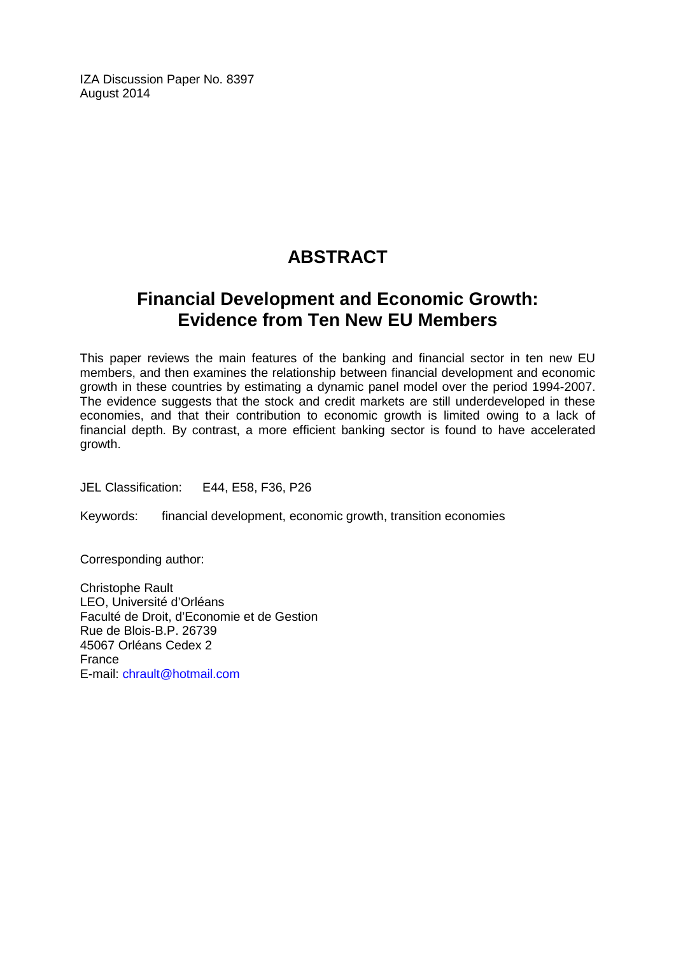IZA Discussion Paper No. 8397 August 2014

# **ABSTRACT**

# **Financial Development and Economic Growth: Evidence from Ten New EU Members**

This paper reviews the main features of the banking and financial sector in ten new EU members, and then examines the relationship between financial development and economic growth in these countries by estimating a dynamic panel model over the period 1994-2007. The evidence suggests that the stock and credit markets are still underdeveloped in these economies, and that their contribution to economic growth is limited owing to a lack of financial depth. By contrast, a more efficient banking sector is found to have accelerated growth.

JEL Classification: E44, E58, F36, P26

Keywords: financial development, economic growth, transition economies

Corresponding author:

Christophe Rault LEO, Université d'Orléans Faculté de Droit, d'Economie et de Gestion Rue de Blois-B.P. 26739 45067 Orléans Cedex 2 France E-mail: [chrault@hotmail.com](mailto:chrault@hotmail.com)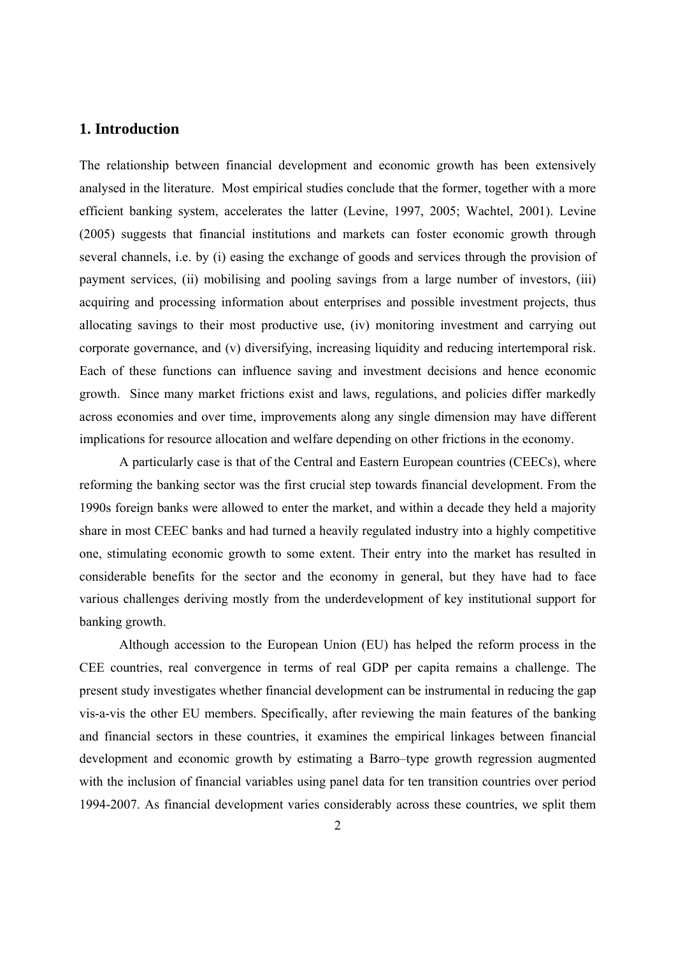#### **1. Introduction**

The relationship between financial development and economic growth has been extensively analysed in the literature. Most empirical studies conclude that the former, together with a more efficient banking system, accelerates the latter (Levine, 1997, 2005; Wachtel, 2001). Levine (2005) suggests that financial institutions and markets can foster economic growth through several channels, i.e. by (i) easing the exchange of goods and services through the provision of payment services, (ii) mobilising and pooling savings from a large number of investors, (iii) acquiring and processing information about enterprises and possible investment projects, thus allocating savings to their most productive use, (iv) monitoring investment and carrying out corporate governance, and (v) diversifying, increasing liquidity and reducing intertemporal risk. Each of these functions can influence saving and investment decisions and hence economic growth. Since many market frictions exist and laws, regulations, and policies differ markedly across economies and over time, improvements along any single dimension may have different implications for resource allocation and welfare depending on other frictions in the economy.

A particularly case is that of the Central and Eastern European countries (CEECs), where reforming the banking sector was the first crucial step towards financial development. From the 1990s foreign banks were allowed to enter the market, and within a decade they held a majority share in most CEEC banks and had turned a heavily regulated industry into a highly competitive one, stimulating economic growth to some extent. Their entry into the market has resulted in considerable benefits for the sector and the economy in general, but they have had to face various challenges deriving mostly from the underdevelopment of key institutional support for banking growth.

Although accession to the European Union (EU) has helped the reform process in the CEE countries, real convergence in terms of real GDP per capita remains a challenge. The present study investigates whether financial development can be instrumental in reducing the gap vis-a-vis the other EU members. Specifically, after reviewing the main features of the banking and financial sectors in these countries, it examines the empirical linkages between financial development and economic growth by estimating a Barro–type growth regression augmented with the inclusion of financial variables using panel data for ten transition countries over period 1994-2007. As financial development varies considerably across these countries, we split them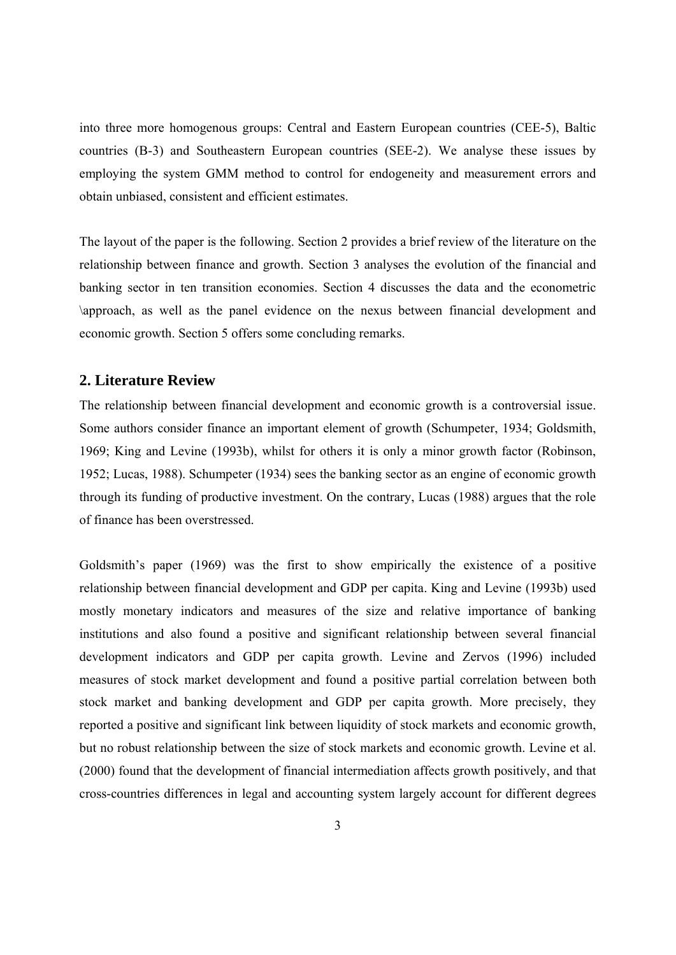into three more homogenous groups: Central and Eastern European countries (CEE-5), Baltic countries (B-3) and Southeastern European countries (SEE-2). We analyse these issues by employing the system GMM method to control for endogeneity and measurement errors and obtain unbiased, consistent and efficient estimates.

The layout of the paper is the following. Section 2 provides a brief review of the literature on the relationship between finance and growth. Section 3 analyses the evolution of the financial and banking sector in ten transition economies. Section 4 discusses the data and the econometric \approach, as well as the panel evidence on the nexus between financial development and economic growth. Section 5 offers some concluding remarks.

#### **2. Literature Review**

The relationship between financial development and economic growth is a controversial issue. Some authors consider finance an important element of growth (Schumpeter, 1934; Goldsmith, 1969; King and Levine (1993b), whilst for others it is only a minor growth factor (Robinson, 1952; Lucas, 1988). Schumpeter (1934) sees the banking sector as an engine of economic growth through its funding of productive investment. On the contrary, Lucas (1988) argues that the role of finance has been overstressed.

Goldsmith's paper (1969) was the first to show empirically the existence of a positive relationship between financial development and GDP per capita. King and Levine (1993b) used mostly monetary indicators and measures of the size and relative importance of banking institutions and also found a positive and significant relationship between several financial development indicators and GDP per capita growth. Levine and Zervos (1996) included measures of stock market development and found a positive partial correlation between both stock market and banking development and GDP per capita growth. More precisely, they reported a positive and significant link between liquidity of stock markets and economic growth, but no robust relationship between the size of stock markets and economic growth. Levine et al. (2000) found that the development of financial intermediation affects growth positively, and that cross-countries differences in legal and accounting system largely account for different degrees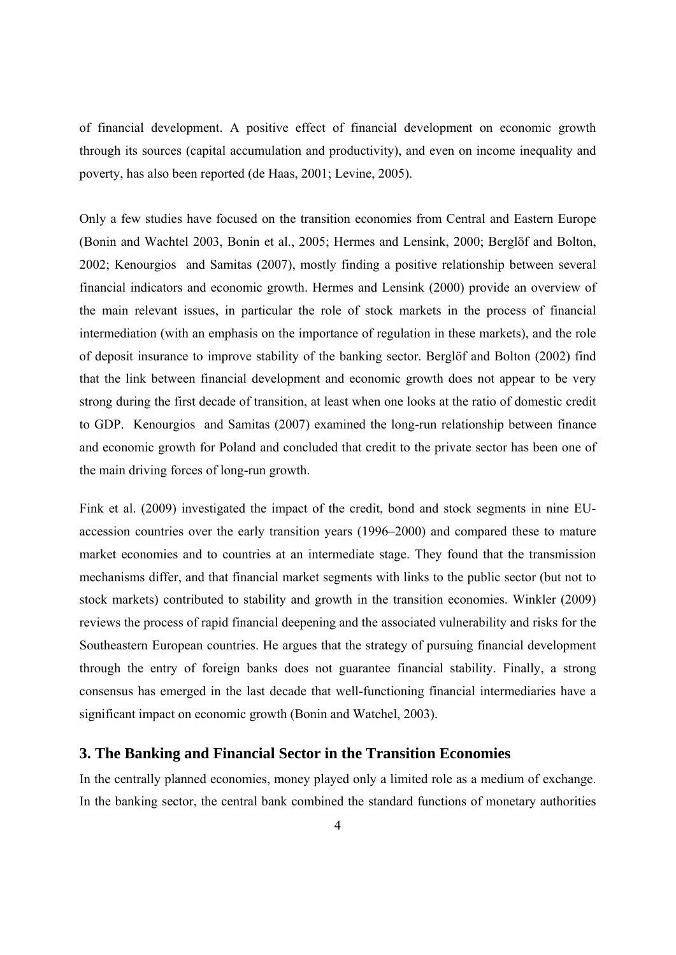of financial development. A positive effect of financial development on economic growth through its sources (capital accumulation and productivity), and even on income inequality and poverty, has also been reported (de Haas, 2001; Levine, 2005).

Only a few studies have focused on the transition economies from Central and Eastern Europe (Bonin and Wachtel 2003, Bonin et al., 2005; Hermes and Lensink, 2000; Berglöf and Bolton, 2002; Kenourgios and Samitas (2007), mostly finding a positive relationship between several financial indicators and economic growth. Hermes and Lensink (2000) provide an overview of the main relevant issues, in particular the role of stock markets in the process of financial intermediation (with an emphasis on the importance of regulation in these markets), and the role of deposit insurance to improve stability of the banking sector. Berglöf and Bolton (2002) find that the link between financial development and economic growth does not appear to be very strong during the first decade of transition, at least when one looks at the ratio of domestic credit to GDP. Kenourgios and Samitas (2007) examined the long-run relationship between finance and economic growth for Poland and concluded that credit to the private sector has been one of the main driving forces of long-run growth.

Fink et al. (2009) investigated the impact of the credit, bond and stock segments in nine EUaccession countries over the early transition years (1996–2000) and compared these to mature market economies and to countries at an intermediate stage. They found that the transmission mechanisms differ, and that financial market segments with links to the public sector (but not to stock markets) contributed to stability and growth in the transition economies. Winkler (2009) reviews the process of rapid financial deepening and the associated vulnerability and risks for the Southeastern European countries. He argues that the strategy of pursuing financial development through the entry of foreign banks does not guarantee financial stability. Finally, a strong consensus has emerged in the last decade that well-functioning financial intermediaries have a significant impact on economic growth (Bonin and Watchel, 2003).

#### **3. The Banking and Financial Sector in the Transition Economies**

In the centrally planned economies, money played only a limited role as a medium of exchange. In the banking sector, the central bank combined the standard functions of monetary authorities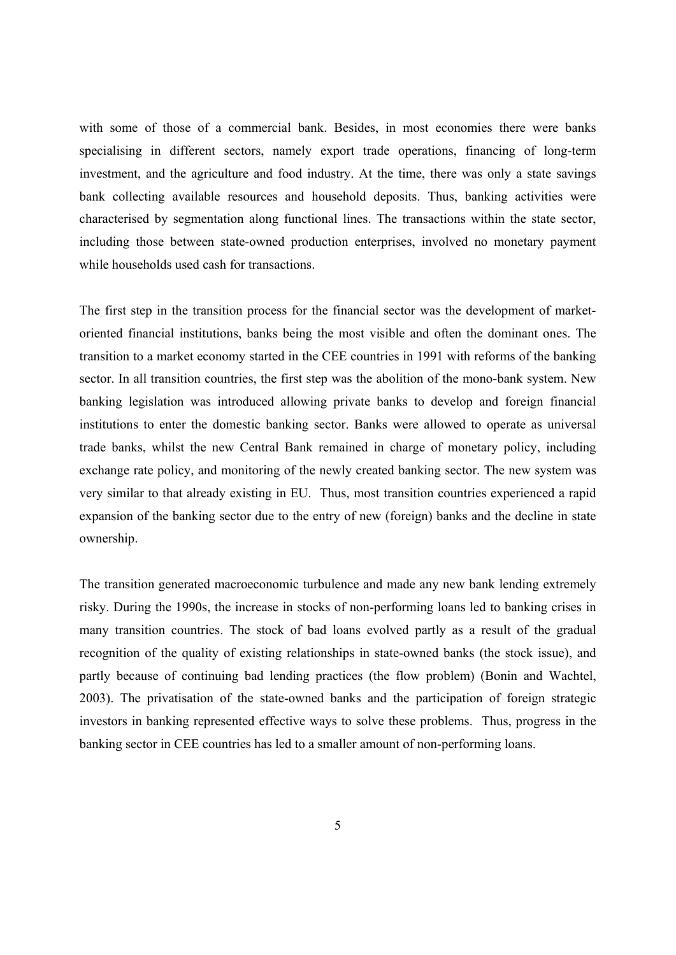with some of those of a commercial bank. Besides, in most economies there were banks specialising in different sectors, namely export trade operations, financing of long-term investment, and the agriculture and food industry. At the time, there was only a state savings bank collecting available resources and household deposits. Thus, banking activities were characterised by segmentation along functional lines. The transactions within the state sector, including those between state-owned production enterprises, involved no monetary payment while households used cash for transactions.

The first step in the transition process for the financial sector was the development of marketoriented financial institutions, banks being the most visible and often the dominant ones. The transition to a market economy started in the CEE countries in 1991 with reforms of the banking sector. In all transition countries, the first step was the abolition of the mono-bank system. New banking legislation was introduced allowing private banks to develop and foreign financial institutions to enter the domestic banking sector. Banks were allowed to operate as universal trade banks, whilst the new Central Bank remained in charge of monetary policy, including exchange rate policy, and monitoring of the newly created banking sector. The new system was very similar to that already existing in EU. Thus, most transition countries experienced a rapid expansion of the banking sector due to the entry of new (foreign) banks and the decline in state ownership.

The transition generated macroeconomic turbulence and made any new bank lending extremely risky. During the 1990s, the increase in stocks of non-performing loans led to banking crises in many transition countries. The stock of bad loans evolved partly as a result of the gradual recognition of the quality of existing relationships in state-owned banks (the stock issue), and partly because of continuing bad lending practices (the flow problem) (Bonin and Wachtel, 2003). The privatisation of the state-owned banks and the participation of foreign strategic investors in banking represented effective ways to solve these problems. Thus, progress in the banking sector in CEE countries has led to a smaller amount of non-performing loans.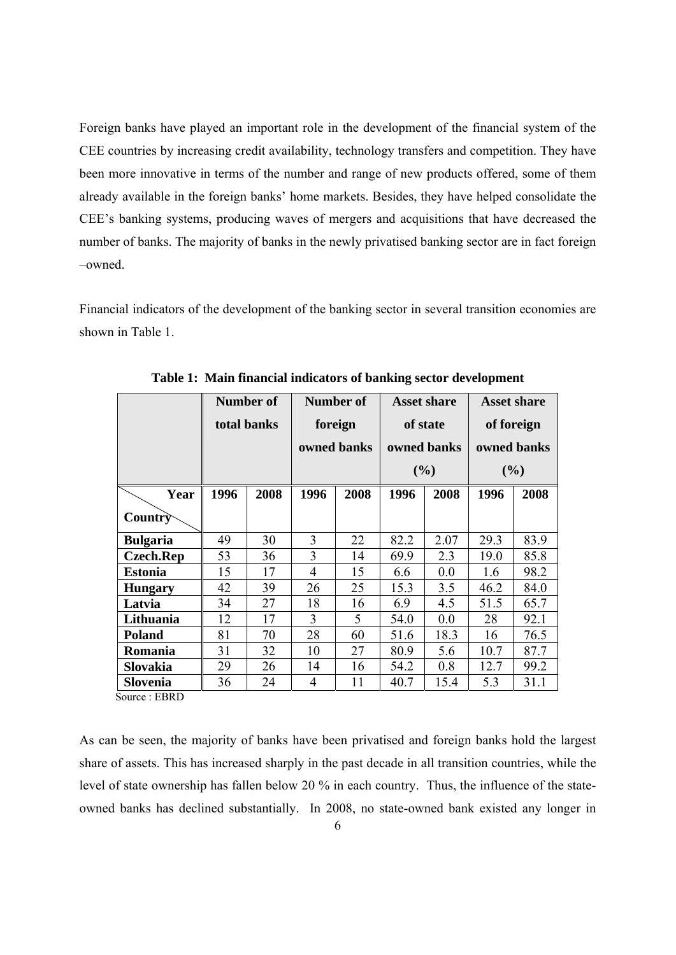Foreign banks have played an important role in the development of the financial system of the CEE countries by increasing credit availability, technology transfers and competition. They have been more innovative in terms of the number and range of new products offered, some of them already available in the foreign banks' home markets. Besides, they have helped consolidate the CEE's banking systems, producing waves of mergers and acquisitions that have decreased the number of banks. The majority of banks in the newly privatised banking sector are in fact foreign –owned.

Financial indicators of the development of the banking sector in several transition economies are shown in Table 1.

|                 | Number of |             |                     | Number of   |        | <b>Asset share</b> | <b>Asset share</b> |      |  |
|-----------------|-----------|-------------|---------------------|-------------|--------|--------------------|--------------------|------|--|
|                 |           | total banks | foreign<br>of state |             |        | of foreign         |                    |      |  |
|                 |           |             |                     | owned banks |        | owned banks        | owned banks        |      |  |
|                 |           |             |                     |             | $($ %) |                    | $($ %)             |      |  |
| Year            | 1996      | 2008        | 1996                | 2008        | 1996   | 2008               | 1996               | 2008 |  |
| Country         |           |             |                     |             |        |                    |                    |      |  |
| <b>Bulgaria</b> | 49        | 30          | 3                   | 22          | 82.2   | 2.07               | 29.3               | 83.9 |  |
| Czech.Rep       | 53        | 36          | 3                   | 14          | 69.9   | 2.3                | 19.0               | 85.8 |  |
| <b>Estonia</b>  | 15        | 17          | 4                   | 15          | 6.6    | 0.0                | 1.6                | 98.2 |  |
| <b>Hungary</b>  | 42        | 39          | 26                  | 25          | 15.3   | 3.5                | 46.2               | 84.0 |  |
| Latvia          | 34        | 27          | 18                  | 16          | 6.9    | 4.5                | 51.5               | 65.7 |  |
| Lithuania       | 12        | 17          | 3                   | 5           | 54.0   | 0.0                | 28                 | 92.1 |  |
| <b>Poland</b>   | 81        | 70          | 28                  | 60          | 51.6   | 18.3               | 16                 | 76.5 |  |
| Romania         | 31        | 32          | 10                  | 27          | 80.9   | 5.6                | 10.7               | 87.7 |  |
| Slovakia        | 29        | 26          | 14                  | 16          | 54.2   | 0.8                | 12.7               | 99.2 |  |
| Slovenia        | 36        | 24          | 4                   | 11          | 40.7   | 15.4               | 5.3                | 31.1 |  |

**Table 1: Main financial indicators of banking sector development** 

Source : EBRD

As can be seen, the majority of banks have been privatised and foreign banks hold the largest share of assets. This has increased sharply in the past decade in all transition countries, while the level of state ownership has fallen below 20 % in each country. Thus, the influence of the stateowned banks has declined substantially. In 2008, no state-owned bank existed any longer in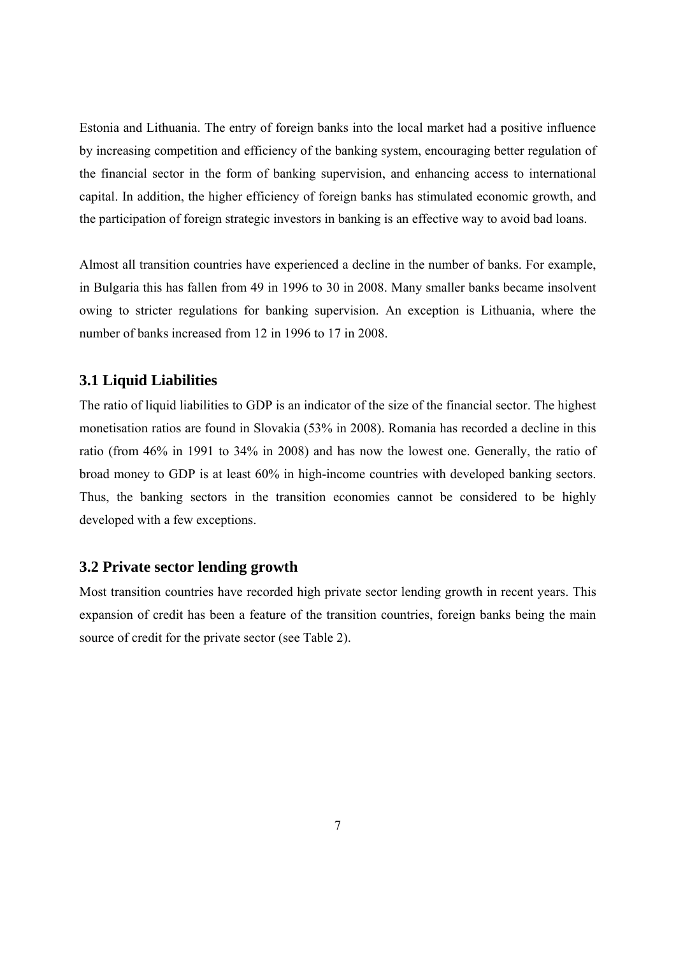Estonia and Lithuania. The entry of foreign banks into the local market had a positive influence by increasing competition and efficiency of the banking system, encouraging better regulation of the financial sector in the form of banking supervision, and enhancing access to international capital. In addition, the higher efficiency of foreign banks has stimulated economic growth, and the participation of foreign strategic investors in banking is an effective way to avoid bad loans.

Almost all transition countries have experienced a decline in the number of banks. For example, in Bulgaria this has fallen from 49 in 1996 to 30 in 2008. Many smaller banks became insolvent owing to stricter regulations for banking supervision. An exception is Lithuania, where the number of banks increased from 12 in 1996 to 17 in 2008.

#### **3.1 Liquid Liabilities**

The ratio of liquid liabilities to GDP is an indicator of the size of the financial sector. The highest monetisation ratios are found in Slovakia (53% in 2008). Romania has recorded a decline in this ratio (from 46% in 1991 to 34% in 2008) and has now the lowest one. Generally, the ratio of broad money to GDP is at least 60% in high-income countries with developed banking sectors. Thus, the banking sectors in the transition economies cannot be considered to be highly developed with a few exceptions.

#### **3.2 Private sector lending growth**

Most transition countries have recorded high private sector lending growth in recent years. This expansion of credit has been a feature of the transition countries, foreign banks being the main source of credit for the private sector (see Table 2).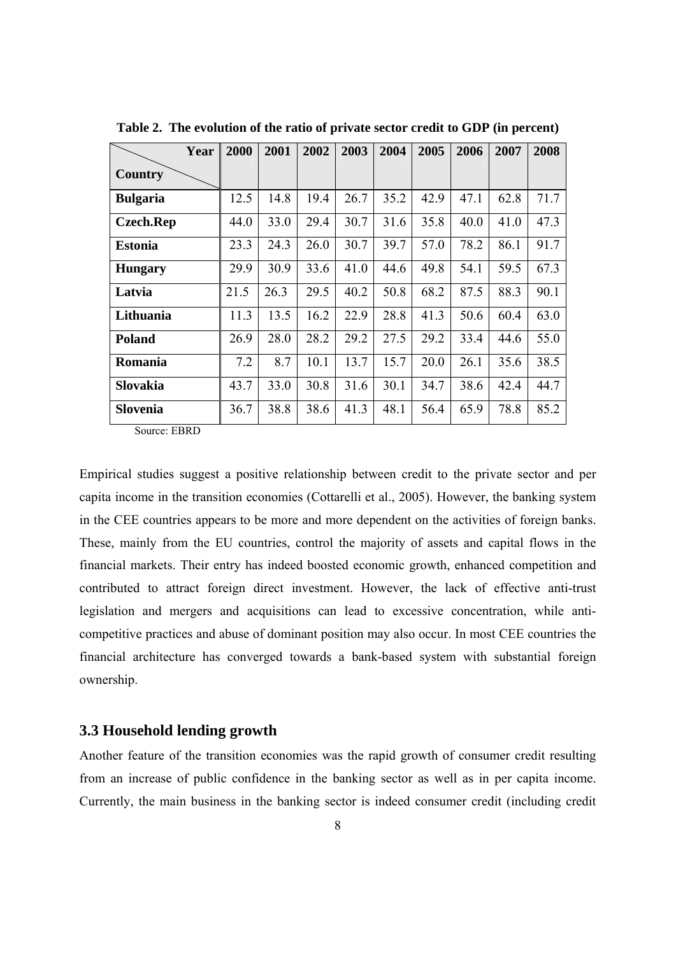| Year             | 2000 | 2001 | 2002 | 2003 | 2004 | 2005 | 2006 | 2007 | 2008 |
|------------------|------|------|------|------|------|------|------|------|------|
| <b>Country</b>   |      |      |      |      |      |      |      |      |      |
| <b>Bulgaria</b>  | 12.5 | 14.8 | 19.4 | 26.7 | 35.2 | 42.9 | 47.1 | 62.8 | 71.7 |
| <b>Czech.Rep</b> | 44.0 | 33.0 | 29.4 | 30.7 | 31.6 | 35.8 | 40.0 | 41.0 | 47.3 |
| <b>Estonia</b>   | 23.3 | 24.3 | 26.0 | 30.7 | 39.7 | 57.0 | 78.2 | 86.1 | 91.7 |
| <b>Hungary</b>   | 29.9 | 30.9 | 33.6 | 41.0 | 44.6 | 49.8 | 54.1 | 59.5 | 67.3 |
| Latvia           | 21.5 | 26.3 | 29.5 | 40.2 | 50.8 | 68.2 | 87.5 | 88.3 | 90.1 |
| Lithuania        | 11.3 | 13.5 | 16.2 | 22.9 | 28.8 | 41.3 | 50.6 | 60.4 | 63.0 |
| Poland           | 26.9 | 28.0 | 28.2 | 29.2 | 27.5 | 29.2 | 33.4 | 44.6 | 55.0 |
| Romania          | 7.2  | 8.7  | 10.1 | 13.7 | 15.7 | 20.0 | 26.1 | 35.6 | 38.5 |
| <b>Slovakia</b>  | 43.7 | 33.0 | 30.8 | 31.6 | 30.1 | 34.7 | 38.6 | 42.4 | 44.7 |
| Slovenia         | 36.7 | 38.8 | 38.6 | 41.3 | 48.1 | 56.4 | 65.9 | 78.8 | 85.2 |

**Table 2. The evolution of the ratio of private sector credit to GDP (in percent)** 

Source: EBRD

Empirical studies suggest a positive relationship between credit to the private sector and per capita income in the transition economies (Cottarelli et al., 2005). However, the banking system in the CEE countries appears to be more and more dependent on the activities of foreign banks. These, mainly from the EU countries, control the majority of assets and capital flows in the financial markets. Their entry has indeed boosted economic growth, enhanced competition and contributed to attract foreign direct investment. However, the lack of effective anti-trust legislation and mergers and acquisitions can lead to excessive concentration, while anticompetitive practices and abuse of dominant position may also occur. In most CEE countries the financial architecture has converged towards a bank-based system with substantial foreign ownership.

#### **3.3 Household lending growth**

Another feature of the transition economies was the rapid growth of consumer credit resulting from an increase of public confidence in the banking sector as well as in per capita income. Currently, the main business in the banking sector is indeed consumer credit (including credit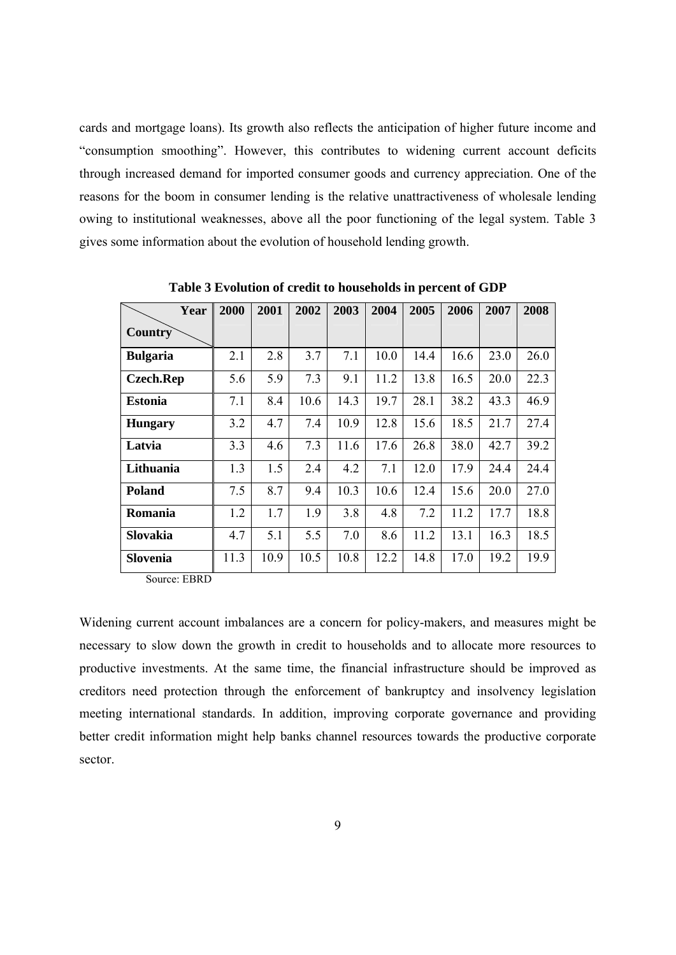cards and mortgage loans). Its growth also reflects the anticipation of higher future income and "consumption smoothing". However, this contributes to widening current account deficits through increased demand for imported consumer goods and currency appreciation. One of the reasons for the boom in consumer lending is the relative unattractiveness of wholesale lending owing to institutional weaknesses, above all the poor functioning of the legal system. Table 3 gives some information about the evolution of household lending growth.

| Year             | 2000 | 2001 | 2002 | 2003 | 2004 | 2005 | 2006 | 2007 | 2008 |
|------------------|------|------|------|------|------|------|------|------|------|
| <b>Country</b>   |      |      |      |      |      |      |      |      |      |
| <b>Bulgaria</b>  | 2.1  | 2.8  | 3.7  | 7.1  | 10.0 | 14.4 | 16.6 | 23.0 | 26.0 |
| <b>Czech.Rep</b> | 5.6  | 5.9  | 7.3  | 9.1  | 11.2 | 13.8 | 16.5 | 20.0 | 22.3 |
| <b>Estonia</b>   | 7.1  | 8.4  | 10.6 | 14.3 | 19.7 | 28.1 | 38.2 | 43.3 | 46.9 |
| <b>Hungary</b>   | 3.2  | 4.7  | 7.4  | 10.9 | 12.8 | 15.6 | 18.5 | 21.7 | 27.4 |
| Latvia           | 3.3  | 4.6  | 7.3  | 11.6 | 17.6 | 26.8 | 38.0 | 42.7 | 39.2 |
| Lithuania        | 1.3  | 1.5  | 2.4  | 4.2  | 7.1  | 12.0 | 17.9 | 24.4 | 24.4 |
| <b>Poland</b>    | 7.5  | 8.7  | 9.4  | 10.3 | 10.6 | 12.4 | 15.6 | 20.0 | 27.0 |
| Romania          | 1.2  | 1.7  | 1.9  | 3.8  | 4.8  | 7.2  | 11.2 | 17.7 | 18.8 |
| Slovakia         | 4.7  | 5.1  | 5.5  | 7.0  | 8.6  | 11.2 | 13.1 | 16.3 | 18.5 |
| Slovenia         | 11.3 | 10.9 | 10.5 | 10.8 | 12.2 | 14.8 | 17.0 | 19.2 | 19.9 |

**Table 3 Evolution of credit to households in percent of GDP** 

Source: EBRD

Widening current account imbalances are a concern for policy-makers, and measures might be necessary to slow down the growth in credit to households and to allocate more resources to productive investments. At the same time, the financial infrastructure should be improved as creditors need protection through the enforcement of bankruptcy and insolvency legislation meeting international standards. In addition, improving corporate governance and providing better credit information might help banks channel resources towards the productive corporate sector.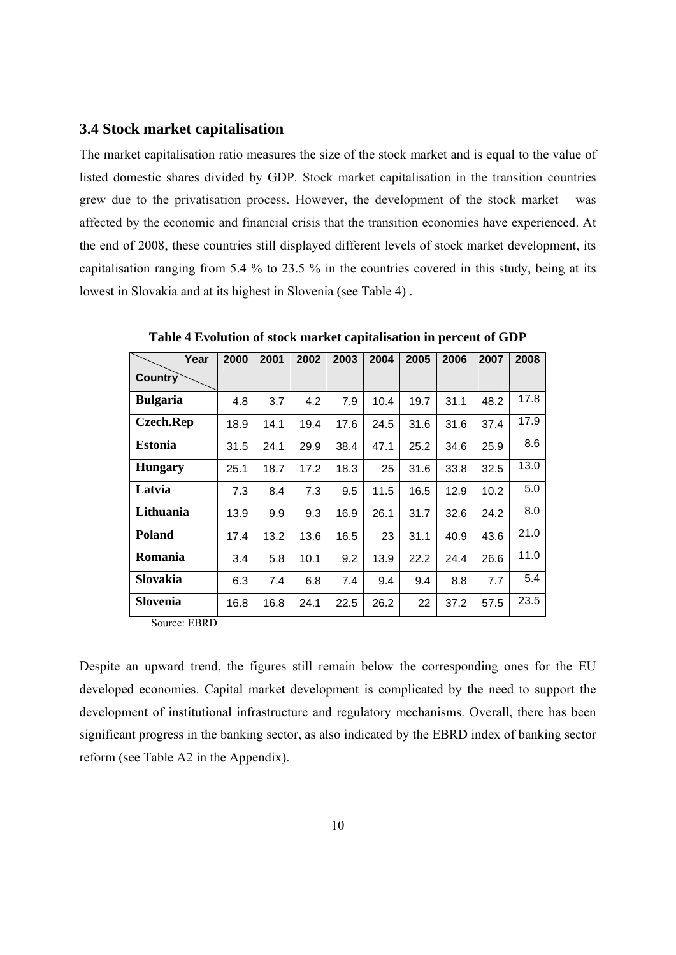#### **3.4 Stock market capitalisation**

The market capitalisation ratio measures the size of the stock market and is equal to the value of listed domestic shares divided by GDP. Stock market capitalisation in the transition countries grew due to the privatisation process. However, the development of the stock market was affected by the economic and financial crisis that the transition economies have experienced. At the end of 2008, these countries still displayed different levels of stock market development, its capitalisation ranging from 5.4 % to 23.5 % in the countries covered in this study, being at its lowest in Slovakia and at its highest in Slovenia (see Table 4) .

| Year             | 2000 | 2001 | 2002 | 2003 | 2004 | 2005 | 2006 | 2007              | 2008 |
|------------------|------|------|------|------|------|------|------|-------------------|------|
| <b>Country</b>   |      |      |      |      |      |      |      |                   |      |
| <b>Bulgaria</b>  | 4.8  | 3.7  | 4.2  | 7.9  | 10.4 | 19.7 | 31.1 | 48.2              | 17.8 |
| <b>Czech.Rep</b> | 18.9 | 14.1 | 19.4 | 17.6 | 24.5 | 31.6 | 31.6 | 37.4              | 17.9 |
| Estonia          | 31.5 | 24.1 | 29.9 | 38.4 | 47.1 | 25.2 | 34.6 | 25.9              | 8.6  |
| <b>Hungary</b>   | 25.1 | 18.7 | 17.2 | 18.3 | 25   | 31.6 | 33.8 | 32.5              | 13.0 |
| Latvia           | 7.3  | 8.4  | 7.3  | 9.5  | 11.5 | 16.5 | 12.9 | 10.2 <sub>1</sub> | 5.0  |
| Lithuania        | 13.9 | 9.9  | 9.3  | 16.9 | 26.1 | 31.7 | 32.6 | 24.2              | 8.0  |
| <b>Poland</b>    | 17.4 | 13.2 | 13.6 | 16.5 | 23   | 31.1 | 40.9 | 43.6              | 21.0 |
| Romania          | 3.4  | 5.8  | 10.1 | 9.2  | 13.9 | 22.2 | 24.4 | 26.6              | 11.0 |
| Slovakia         | 6.3  | 7.4  | 6.8  | 7.4  | 9.4  | 9.4  | 8.8  | 7.7               | 5.4  |
| Slovenia         | 16.8 | 16.8 | 24.1 | 22.5 | 26.2 | 22   | 37.2 | 57.5              | 23.5 |

**Table 4 Evolution of stock market capitalisation in percent of GDP** 

Source: EBRD

Despite an upward trend, the figures still remain below the corresponding ones for the EU developed economies. Capital market development is complicated by the need to support the development of institutional infrastructure and regulatory mechanisms. Overall, there has been significant progress in the banking sector, as also indicated by the EBRD index of banking sector reform (see Table A2 in the Appendix).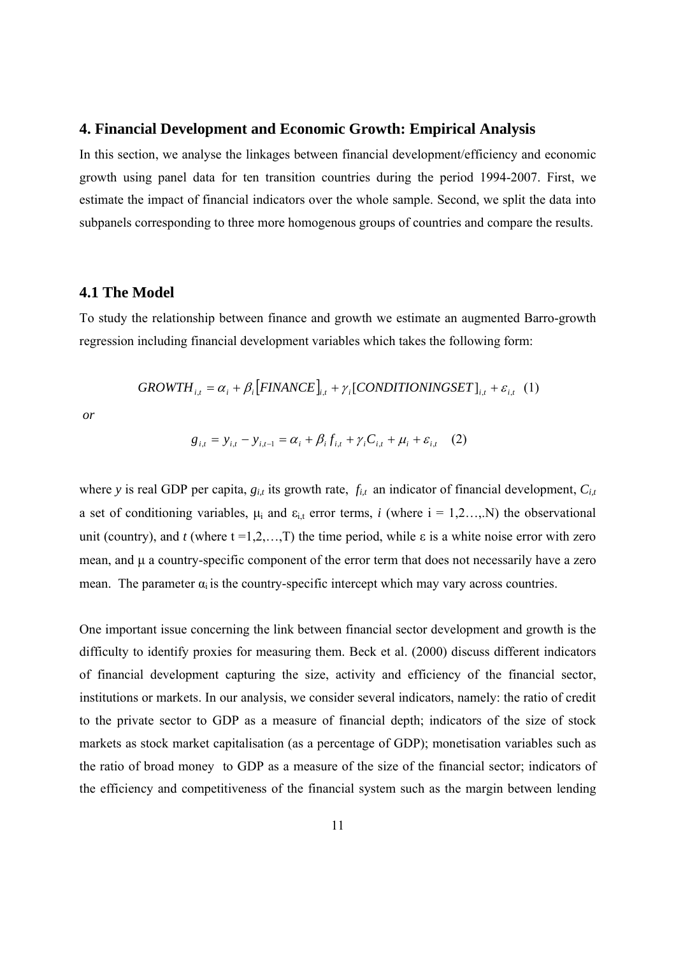#### **4. Financial Development and Economic Growth: Empirical Analysis**

In this section, we analyse the linkages between financial development/efficiency and economic growth using panel data for ten transition countries during the period 1994-2007. First, we estimate the impact of financial indicators over the whole sample. Second, we split the data into subpanels corresponding to three more homogenous groups of countries and compare the results.

#### **4.1 The Model**

To study the relationship between finance and growth we estimate an augmented Barro-growth regression including financial development variables which takes the following form:

$$
GROWTH_{i,t} = \alpha_i + \beta_i [FINANCE]_{i,t} + \gamma_i [CONDITIONINGSET]_{i,t} + \varepsilon_{i,t} \tag{1}
$$

 *or* 

$$
g_{i,t} = y_{i,t} - y_{i,t-1} = \alpha_i + \beta_i f_{i,t} + \gamma_i C_{i,t} + \mu_i + \varepsilon_{i,t} \quad (2)
$$

where *y* is real GDP per capita,  $g_{i,t}$  its growth rate,  $f_{i,t}$  an indicator of financial development,  $C_{i,t}$ a set of conditioning variables,  $\mu_i$  and  $\varepsilon_{i,t}$  error terms, *i* (where  $i = 1,2...,N$ ) the observational unit (country), and *t* (where  $t = 1, 2, \ldots, T$ ) the time period, while  $\varepsilon$  is a white noise error with zero mean, and μ a country-specific component of the error term that does not necessarily have a zero mean. The parameter  $\alpha_i$  is the country-specific intercept which may vary across countries.

One important issue concerning the link between financial sector development and growth is the difficulty to identify proxies for measuring them. Beck et al. (2000) discuss different indicators of financial development capturing the size, activity and efficiency of the financial sector, institutions or markets. In our analysis, we consider several indicators, namely: the ratio of credit to the private sector to GDP as a measure of financial depth; indicators of the size of stock markets as stock market capitalisation (as a percentage of GDP); monetisation variables such as the ratio of broad money to GDP as a measure of the size of the financial sector; indicators of the efficiency and competitiveness of the financial system such as the margin between lending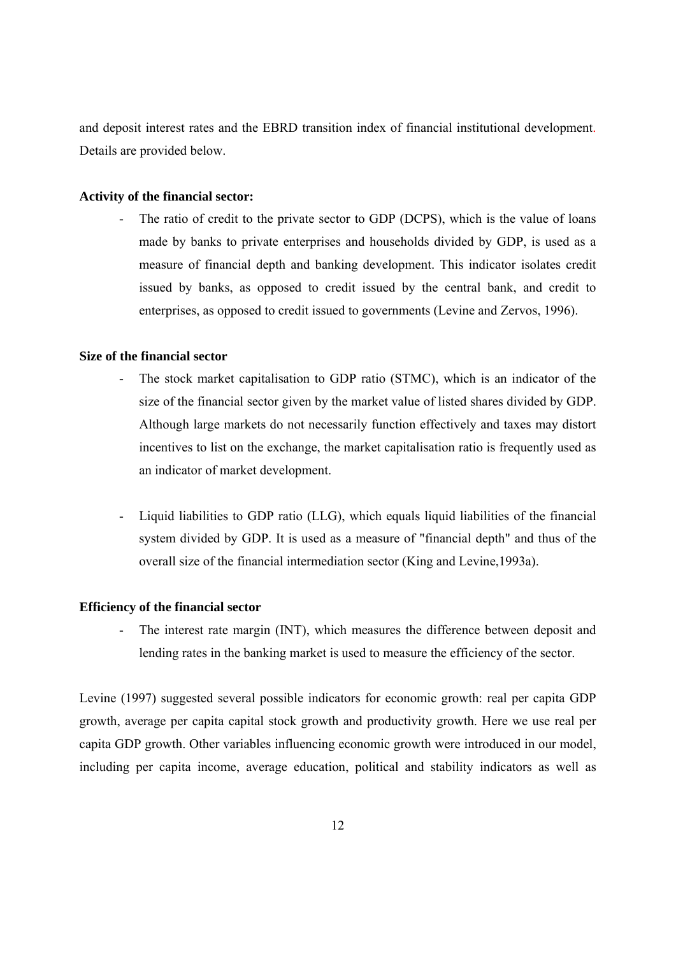and deposit interest rates and the EBRD transition index of financial institutional development. Details are provided below.

#### **Activity of the financial sector:**

- The ratio of credit to the private sector to GDP (DCPS), which is the value of loans made by banks to private enterprises and households divided by GDP, is used as a measure of financial depth and banking development. This indicator isolates credit issued by banks, as opposed to credit issued by the central bank, and credit to enterprises, as opposed to credit issued to governments (Levine and Zervos, 1996).

#### **Size of the financial sector**

- The stock market capitalisation to GDP ratio (STMC), which is an indicator of the size of the financial sector given by the market value of listed shares divided by GDP. Although large markets do not necessarily function effectively and taxes may distort incentives to list on the exchange, the market capitalisation ratio is frequently used as an indicator of market development.
- Liquid liabilities to GDP ratio (LLG), which equals liquid liabilities of the financial system divided by GDP. It is used as a measure of "financial depth" and thus of the overall size of the financial intermediation sector (King and Levine,1993a).

#### **Efficiency of the financial sector**

- The interest rate margin (INT), which measures the difference between deposit and lending rates in the banking market is used to measure the efficiency of the sector.

Levine (1997) suggested several possible indicators for economic growth: real per capita GDP growth, average per capita capital stock growth and productivity growth. Here we use real per capita GDP growth. Other variables influencing economic growth were introduced in our model, including per capita income, average education, political and stability indicators as well as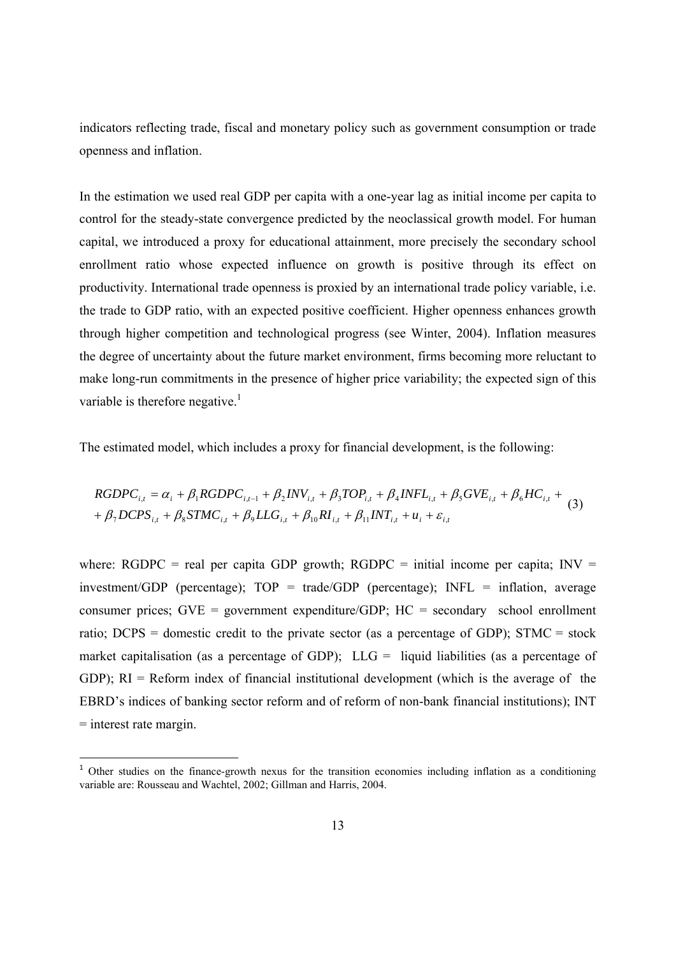indicators reflecting trade, fiscal and monetary policy such as government consumption or trade openness and inflation.

In the estimation we used real GDP per capita with a one-year lag as initial income per capita to control for the steady-state convergence predicted by the neoclassical growth model. For human capital, we introduced a proxy for educational attainment, more precisely the secondary school enrollment ratio whose expected influence on growth is positive through its effect on productivity. International trade openness is proxied by an international trade policy variable, i.e. the trade to GDP ratio, with an expected positive coefficient. Higher openness enhances growth through higher competition and technological progress (see Winter, 2004). Inflation measures the degree of uncertainty about the future market environment, firms becoming more reluctant to make long-run commitments in the presence of higher price variability; the expected sign of this variable is therefore negative.<sup>1</sup>

The estimated model, which includes a proxy for financial development, is the following:

 $f \theta_7 DCPS_{i,t} + \beta_8 STMC_{i,t} + \beta_9LLG_{i,t} + \beta_{10} RI_{i,t} + \beta_{11} INT_{i,t} + u_i + \varepsilon_{i,t}$  $RGDPC_{i,t} = \alpha_i + \beta_1 RGBDPC_{i,t-1} + \beta_2 INV_{i,t} + \beta_3 TOP_{i,t} + \beta_4 INFL_{i,t} + \beta_5 GVE_{i,t} + \beta_6 HC_{i,t} +$ <br>  $\alpha_i = \alpha_i + \beta_1 RGBDPC_{i,t-1} + \beta_2 INV_{i,t} + \beta_3 TOP_{i,t} + \beta_4 INFL_{i,t} + \beta_5 GVE_{i,t} + \beta_6 HC_{i,t} +$ 

where: RGDPC = real per capita GDP growth;  $RGDPC =$  initial income per capita;  $INV =$ investment/GDP (percentage); TOP = trade/GDP (percentage); INFL = inflation, average consumer prices;  $GVE = government expenditure/GDP$ ;  $HC = secondary school enrollment$ ratio; DCPS = domestic credit to the private sector (as a percentage of GDP); STMC = stock market capitalisation (as a percentage of GDP);  $LLG =$  liquid liabilities (as a percentage of GDP); RI = Reform index of financial institutional development (which is the average of the EBRD's indices of banking sector reform and of reform of non-bank financial institutions); INT = interest rate margin.

<sup>&</sup>lt;sup>1</sup> Other studies on the finance-growth nexus for the transition economies including inflation as a conditioning variable are: Rousseau and Wachtel, 2002; Gillman and Harris, 2004.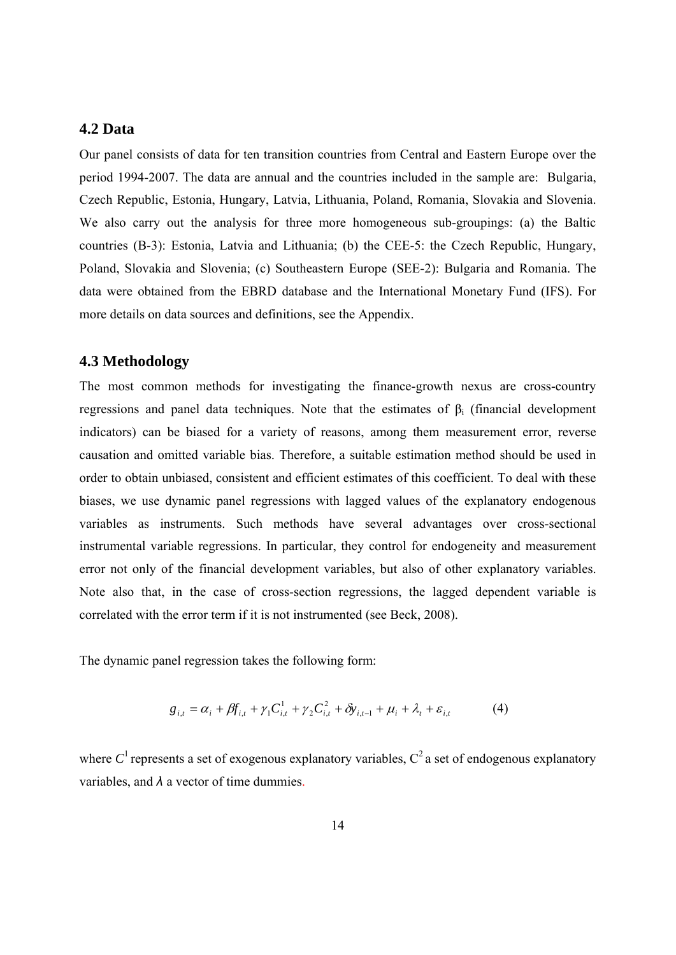#### **4.2 Data**

Our panel consists of data for ten transition countries from Central and Eastern Europe over the period 1994-2007. The data are annual and the countries included in the sample are: Bulgaria, Czech Republic, Estonia, Hungary, Latvia, Lithuania, Poland, Romania, Slovakia and Slovenia. We also carry out the analysis for three more homogeneous sub-groupings: (a) the Baltic countries (B-3): Estonia, Latvia and Lithuania; (b) the CEE-5: the Czech Republic, Hungary, Poland, Slovakia and Slovenia; (c) Southeastern Europe (SEE-2): Bulgaria and Romania. The data were obtained from the EBRD database and the International Monetary Fund (IFS). For more details on data sources and definitions, see the Appendix.

#### **4.3 Methodology**

The most common methods for investigating the finance-growth nexus are cross-country regressions and panel data techniques. Note that the estimates of  $β<sub>i</sub>$  (financial development indicators) can be biased for a variety of reasons, among them measurement error, reverse causation and omitted variable bias. Therefore, a suitable estimation method should be used in order to obtain unbiased, consistent and efficient estimates of this coefficient. To deal with these biases, we use dynamic panel regressions with lagged values of the explanatory endogenous variables as instruments. Such methods have several advantages over cross-sectional instrumental variable regressions. In particular, they control for endogeneity and measurement error not only of the financial development variables, but also of other explanatory variables. Note also that, in the case of cross-section regressions, the lagged dependent variable is correlated with the error term if it is not instrumented (see Beck, 2008).

The dynamic panel regression takes the following form:

$$
g_{i,t} = \alpha_i + \beta f_{i,t} + \gamma_1 C_{i,t}^1 + \gamma_2 C_{i,t}^2 + \delta y_{i,t-1} + \mu_i + \lambda_t + \varepsilon_{i,t}
$$
(4)

where  $C<sup>1</sup>$  represents a set of exogenous explanatory variables,  $C<sup>2</sup>$  a set of endogenous explanatory variables, and *λ* a vector of time dummies.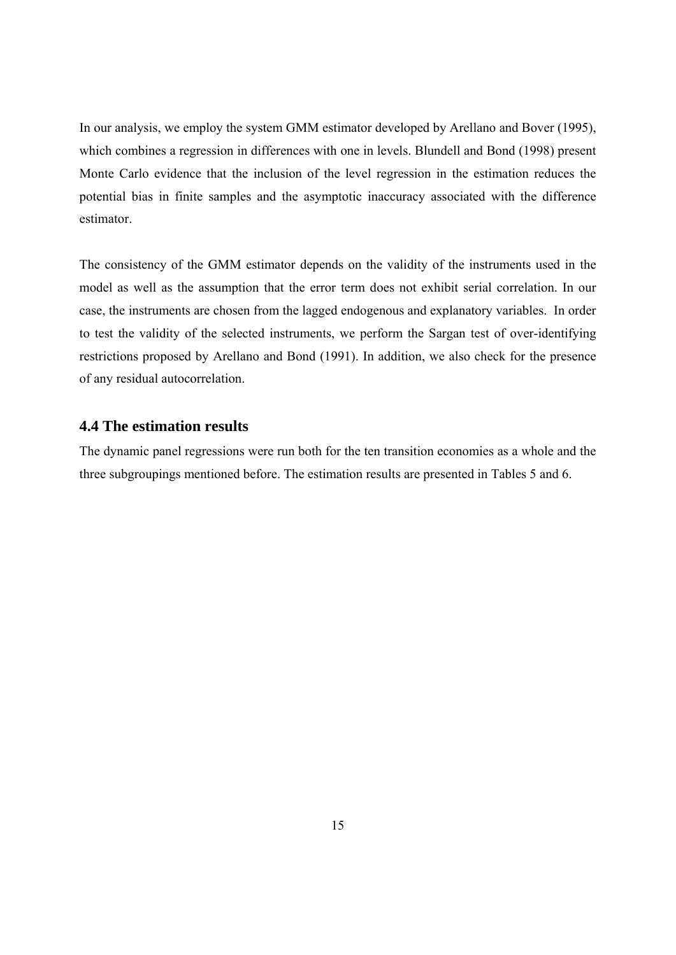In our analysis, we employ the system GMM estimator developed by Arellano and Bover (1995), which combines a regression in differences with one in levels. Blundell and Bond (1998) present Monte Carlo evidence that the inclusion of the level regression in the estimation reduces the potential bias in finite samples and the asymptotic inaccuracy associated with the difference estimator.

The consistency of the GMM estimator depends on the validity of the instruments used in the model as well as the assumption that the error term does not exhibit serial correlation. In our case, the instruments are chosen from the lagged endogenous and explanatory variables. In order to test the validity of the selected instruments, we perform the Sargan test of over-identifying restrictions proposed by Arellano and Bond (1991). In addition, we also check for the presence of any residual autocorrelation.

#### **4.4 The estimation results**

The dynamic panel regressions were run both for the ten transition economies as a whole and the three subgroupings mentioned before. The estimation results are presented in Tables 5 and 6.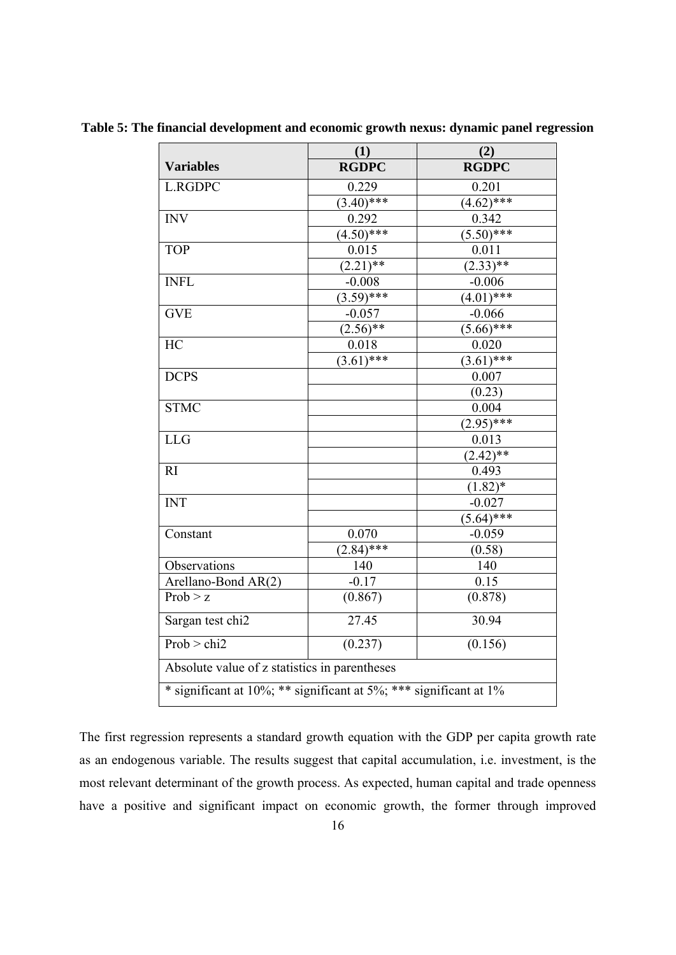|                                                                   | (1)<br>(2)         |              |  |  |  |  |  |
|-------------------------------------------------------------------|--------------------|--------------|--|--|--|--|--|
| <b>Variables</b>                                                  | <b>RGDPC</b>       | <b>RGDPC</b> |  |  |  |  |  |
| L.RGDPC                                                           | 0.229              | 0.201        |  |  |  |  |  |
|                                                                   | $\sqrt{(3.40)***}$ | $(4.62)$ *** |  |  |  |  |  |
| <b>INV</b>                                                        | 0.292              | 0.342        |  |  |  |  |  |
|                                                                   | $(4.50)$ ***       | $(5.50)$ *** |  |  |  |  |  |
| <b>TOP</b>                                                        | 0.015              | 0.011        |  |  |  |  |  |
|                                                                   | $(2.21)$ **        | $(2.33)**$   |  |  |  |  |  |
| <b>INFL</b>                                                       | $-0.008$           | $-0.006$     |  |  |  |  |  |
|                                                                   | $(3.59)$ ***       | $(4.01)$ *** |  |  |  |  |  |
| <b>GVE</b>                                                        | $-0.057$           | $-0.066$     |  |  |  |  |  |
|                                                                   | $(2.56)*$          | $(5.66)$ *** |  |  |  |  |  |
| HC                                                                | 0.018              | 0.020        |  |  |  |  |  |
|                                                                   | $(3.61)$ ***       | $(3.61)$ *** |  |  |  |  |  |
| <b>DCPS</b>                                                       |                    | 0.007        |  |  |  |  |  |
|                                                                   |                    | (0.23)       |  |  |  |  |  |
| <b>STMC</b>                                                       |                    | 0.004        |  |  |  |  |  |
|                                                                   |                    | $(2.95)$ *** |  |  |  |  |  |
| LLG                                                               |                    | 0.013        |  |  |  |  |  |
|                                                                   |                    | $(2.42)$ **  |  |  |  |  |  |
| R1                                                                |                    | 0.493        |  |  |  |  |  |
|                                                                   |                    | $(1.82)^*$   |  |  |  |  |  |
| <b>INT</b>                                                        |                    | $-0.027$     |  |  |  |  |  |
|                                                                   |                    | $(5.64)$ *** |  |  |  |  |  |
| Constant                                                          | 0.070              | $-0.059$     |  |  |  |  |  |
|                                                                   | $(2.84)$ ***       | (0.58)       |  |  |  |  |  |
| Observations                                                      | 140                | 140          |  |  |  |  |  |
| Arellano-Bond AR(2)                                               | $-0.17$            | 0.15         |  |  |  |  |  |
| Prob > z                                                          | (0.867)            | (0.878)      |  |  |  |  |  |
| Sargan test chi2                                                  | 27.45              | 30.94        |  |  |  |  |  |
| Prob > chi2                                                       | (0.237)            | (0.156)      |  |  |  |  |  |
| Absolute value of z statistics in parentheses                     |                    |              |  |  |  |  |  |
| * significant at 10%; ** significant at 5%; *** significant at 1% |                    |              |  |  |  |  |  |

**Table 5: The financial development and economic growth nexus: dynamic panel regression** 

The first regression represents a standard growth equation with the GDP per capita growth rate as an endogenous variable. The results suggest that capital accumulation, i.e. investment, is the most relevant determinant of the growth process. As expected, human capital and trade openness have a positive and significant impact on economic growth, the former through improved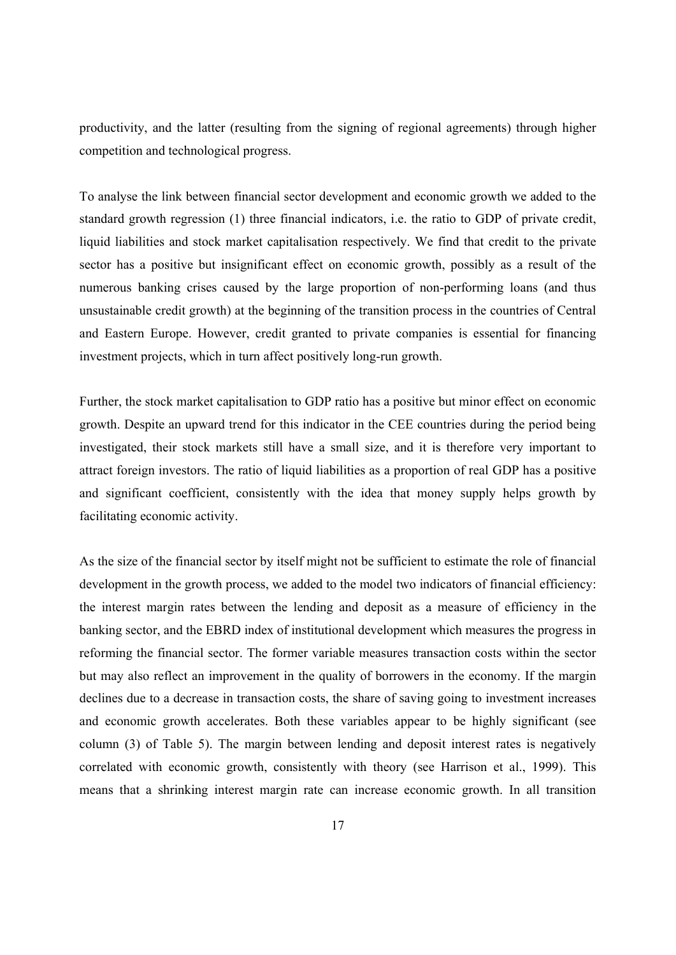productivity, and the latter (resulting from the signing of regional agreements) through higher competition and technological progress.

To analyse the link between financial sector development and economic growth we added to the standard growth regression (1) three financial indicators, i.e. the ratio to GDP of private credit, liquid liabilities and stock market capitalisation respectively. We find that credit to the private sector has a positive but insignificant effect on economic growth, possibly as a result of the numerous banking crises caused by the large proportion of non-performing loans (and thus unsustainable credit growth) at the beginning of the transition process in the countries of Central and Eastern Europe. However, credit granted to private companies is essential for financing investment projects, which in turn affect positively long-run growth.

Further, the stock market capitalisation to GDP ratio has a positive but minor effect on economic growth. Despite an upward trend for this indicator in the CEE countries during the period being investigated, their stock markets still have a small size, and it is therefore very important to attract foreign investors. The ratio of liquid liabilities as a proportion of real GDP has a positive and significant coefficient, consistently with the idea that money supply helps growth by facilitating economic activity.

As the size of the financial sector by itself might not be sufficient to estimate the role of financial development in the growth process, we added to the model two indicators of financial efficiency: the interest margin rates between the lending and deposit as a measure of efficiency in the banking sector, and the EBRD index of institutional development which measures the progress in reforming the financial sector. The former variable measures transaction costs within the sector but may also reflect an improvement in the quality of borrowers in the economy. If the margin declines due to a decrease in transaction costs, the share of saving going to investment increases and economic growth accelerates. Both these variables appear to be highly significant (see column (3) of Table 5). The margin between lending and deposit interest rates is negatively correlated with economic growth, consistently with theory (see Harrison et al., 1999). This means that a shrinking interest margin rate can increase economic growth. In all transition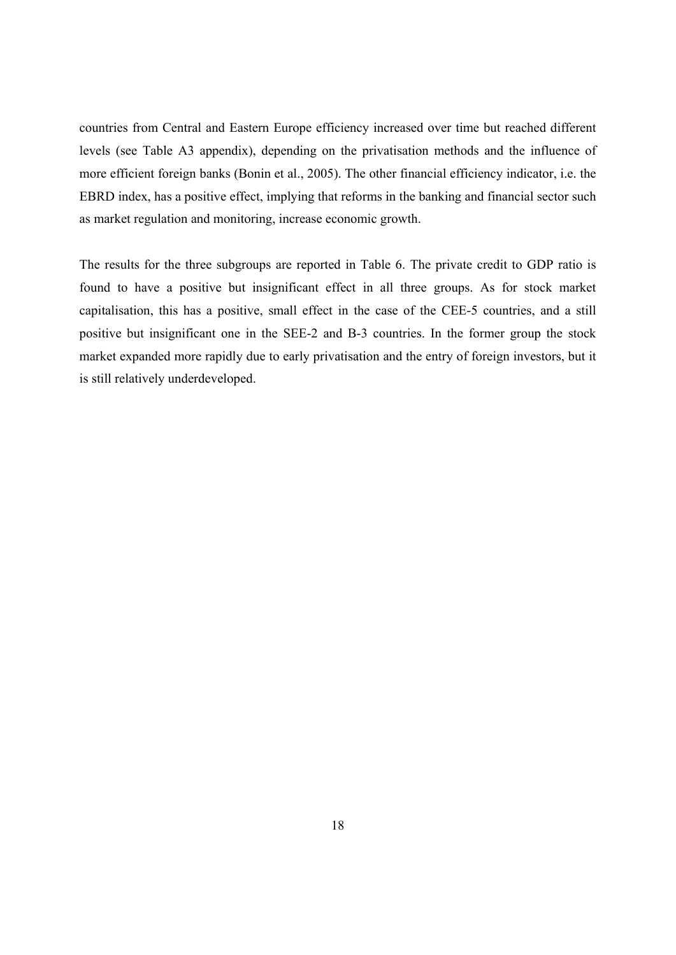countries from Central and Eastern Europe efficiency increased over time but reached different levels (see Table A3 appendix), depending on the privatisation methods and the influence of more efficient foreign banks (Bonin et al., 2005). The other financial efficiency indicator, i.e. the EBRD index, has a positive effect, implying that reforms in the banking and financial sector such as market regulation and monitoring, increase economic growth.

The results for the three subgroups are reported in Table 6. The private credit to GDP ratio is found to have a positive but insignificant effect in all three groups. As for stock market capitalisation, this has a positive, small effect in the case of the CEE-5 countries, and a still positive but insignificant one in the SEE-2 and B-3 countries. In the former group the stock market expanded more rapidly due to early privatisation and the entry of foreign investors, but it is still relatively underdeveloped.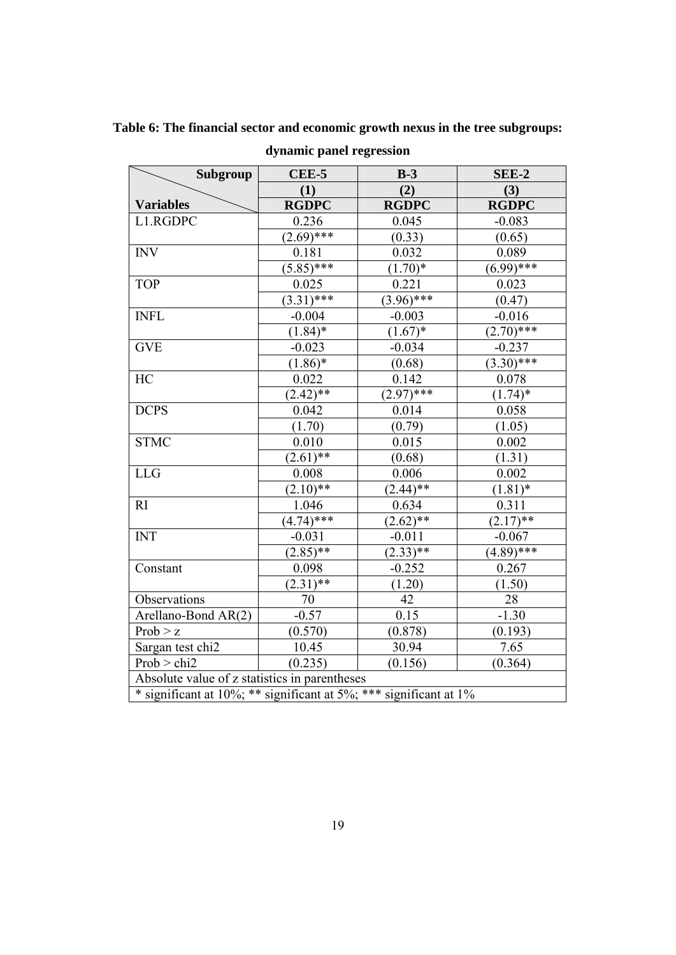**Table 6: The financial sector and economic growth nexus in the tree subgroups:** 

| Subgroup                                                          | <b>CEE-5</b> | $B-3$        | SEE-2        |
|-------------------------------------------------------------------|--------------|--------------|--------------|
|                                                                   | (1)          | (2)          | (3)          |
| <b>Variables</b>                                                  | <b>RGDPC</b> | <b>RGDPC</b> | <b>RGDPC</b> |
| L1.RGDPC                                                          | 0.236        | 0.045        | $-0.083$     |
|                                                                   | $(2.69)$ *** | (0.33)       | (0.65)       |
| <b>INV</b>                                                        | 0.181        | 0.032        | 0.089        |
|                                                                   | $(5.85)$ *** | $(1.70)*$    | $(6.99)$ *** |
| <b>TOP</b>                                                        | 0.025        | 0.221        | 0.023        |
|                                                                   | $(3.31)$ *** | $(3.96)$ *** | (0.47)       |
| <b>INFL</b>                                                       | $-0.004$     | $-0.003$     | $-0.016$     |
|                                                                   | $(1.84)$ *   | $(1.67)^*$   | $(2.70)$ *** |
| <b>GVE</b>                                                        | $-0.023$     | $-0.034$     | $-0.237$     |
|                                                                   | $(1.86)$ *   | (0.68)       | $(3.30)$ *** |
| HC                                                                | 0.022        | 0.142        | 0.078        |
|                                                                   | $(2.42)$ **  | $(2.97)$ *** | $(1.74)$ *   |
| <b>DCPS</b>                                                       | 0.042        | 0.014        | 0.058        |
|                                                                   | (1.70)       | (0.79)       | (1.05)       |
| <b>STMC</b>                                                       | 0.010        | 0.015        | 0.002        |
|                                                                   | $(2.61)*$    | (0.68)       | (1.31)       |
| <b>LLG</b>                                                        | 0.008        | 0.006        | 0.002        |
|                                                                   | $(2.10)**$   | $(2.44)$ **  | $(1.81)^*$   |
| RI                                                                | 1.046        | 0.634        | 0.311        |
|                                                                   | $(4.74)$ *** | $(2.62)$ **  | $(2.17)$ **  |
| <b>INT</b>                                                        | $-0.031$     | $-0.011$     | $-0.067$     |
|                                                                   | $(2.85)$ **  | $(2.33)$ **  | $(4.89)$ *** |
| Constant                                                          | 0.098        | $-0.252$     | 0.267        |
|                                                                   | $(2.31)$ **  | (1.20)       | (1.50)       |
| Observations                                                      | 70           | 42           | 28           |
| Arellano-Bond AR(2)                                               | $-0.57$      | 0.15         | $-1.30$      |
| Prob > z                                                          | (0.570)      | (0.878)      | (0.193)      |
| Sargan test chi2                                                  | 10.45        | 30.94        | 7.65         |
| Prob > chi2                                                       | (0.235)      | (0.156)      | (0.364)      |
| Absolute value of z statistics in parentheses                     |              |              |              |
| * significant at 10%; ** significant at 5%; *** significant at 1% |              |              |              |

**dynamic panel regression**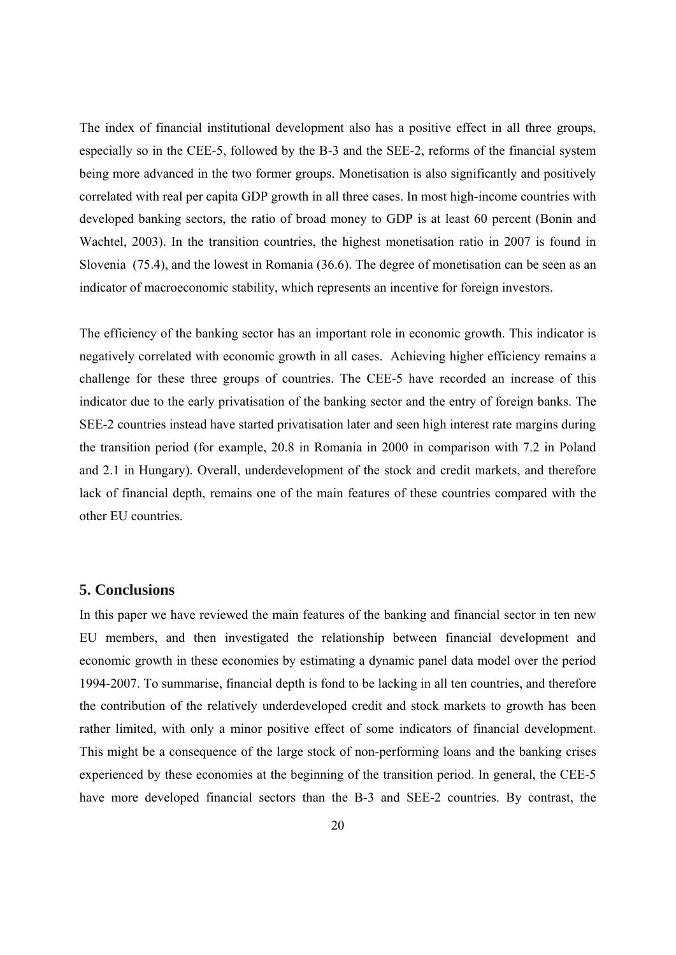The index of financial institutional development also has a positive effect in all three groups, especially so in the CEE-5, followed by the B-3 and the SEE-2, reforms of the financial system being more advanced in the two former groups. Monetisation is also significantly and positively correlated with real per capita GDP growth in all three cases. In most high-income countries with developed banking sectors, the ratio of broad money to GDP is at least 60 percent (Bonin and Wachtel, 2003). In the transition countries, the highest monetisation ratio in 2007 is found in Slovenia (75.4), and the lowest in Romania (36.6). The degree of monetisation can be seen as an indicator of macroeconomic stability, which represents an incentive for foreign investors.

The efficiency of the banking sector has an important role in economic growth. This indicator is negatively correlated with economic growth in all cases. Achieving higher efficiency remains a challenge for these three groups of countries. The CEE-5 have recorded an increase of this indicator due to the early privatisation of the banking sector and the entry of foreign banks. The SEE-2 countries instead have started privatisation later and seen high interest rate margins during the transition period (for example, 20.8 in Romania in 2000 in comparison with 7.2 in Poland and 2.1 in Hungary). Overall, underdevelopment of the stock and credit markets, and therefore lack of financial depth, remains one of the main features of these countries compared with the other EU countries.

#### **5. Conclusions**

In this paper we have reviewed the main features of the banking and financial sector in ten new EU members, and then investigated the relationship between financial development and economic growth in these economies by estimating a dynamic panel data model over the period 1994-2007. To summarise, financial depth is fond to be lacking in all ten countries, and therefore the contribution of the relatively underdeveloped credit and stock markets to growth has been rather limited, with only a minor positive effect of some indicators of financial development. This might be a consequence of the large stock of non-performing loans and the banking crises experienced by these economies at the beginning of the transition period. In general, the CEE-5 have more developed financial sectors than the B-3 and SEE-2 countries. By contrast, the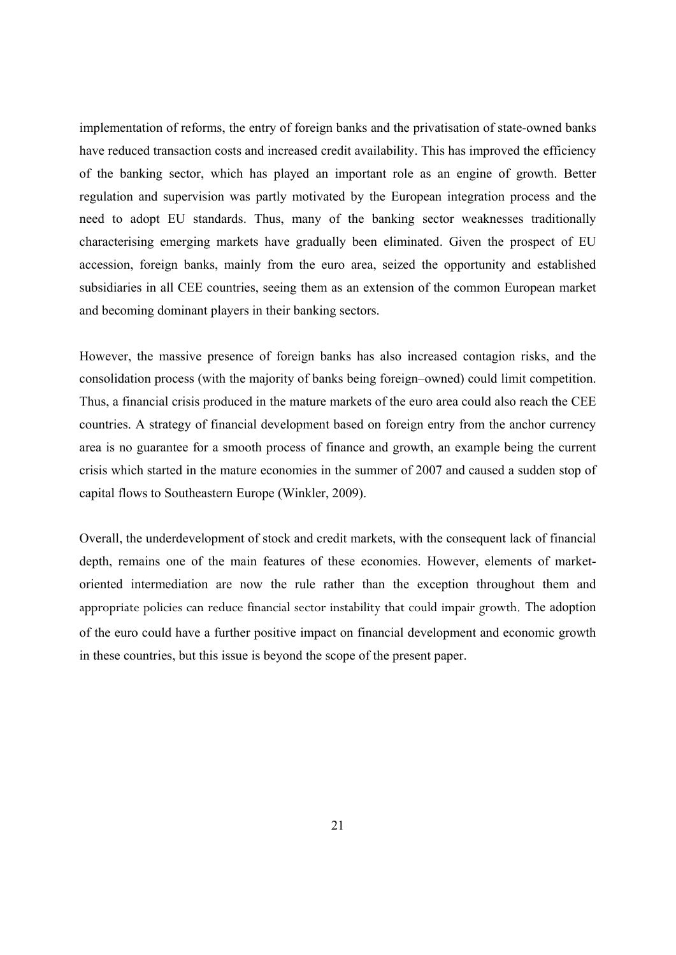implementation of reforms, the entry of foreign banks and the privatisation of state-owned banks have reduced transaction costs and increased credit availability. This has improved the efficiency of the banking sector, which has played an important role as an engine of growth. Better regulation and supervision was partly motivated by the European integration process and the need to adopt EU standards. Thus, many of the banking sector weaknesses traditionally characterising emerging markets have gradually been eliminated. Given the prospect of EU accession, foreign banks, mainly from the euro area, seized the opportunity and established subsidiaries in all CEE countries, seeing them as an extension of the common European market and becoming dominant players in their banking sectors.

However, the massive presence of foreign banks has also increased contagion risks, and the consolidation process (with the majority of banks being foreign–owned) could limit competition. Thus, a financial crisis produced in the mature markets of the euro area could also reach the CEE countries. A strategy of financial development based on foreign entry from the anchor currency area is no guarantee for a smooth process of finance and growth, an example being the current crisis which started in the mature economies in the summer of 2007 and caused a sudden stop of capital flows to Southeastern Europe (Winkler, 2009).

Overall, the underdevelopment of stock and credit markets, with the consequent lack of financial depth, remains one of the main features of these economies. However, elements of marketoriented intermediation are now the rule rather than the exception throughout them and appropriate policies can reduce financial sector instability that could impair growth. The adoption of the euro could have a further positive impact on financial development and economic growth in these countries, but this issue is beyond the scope of the present paper.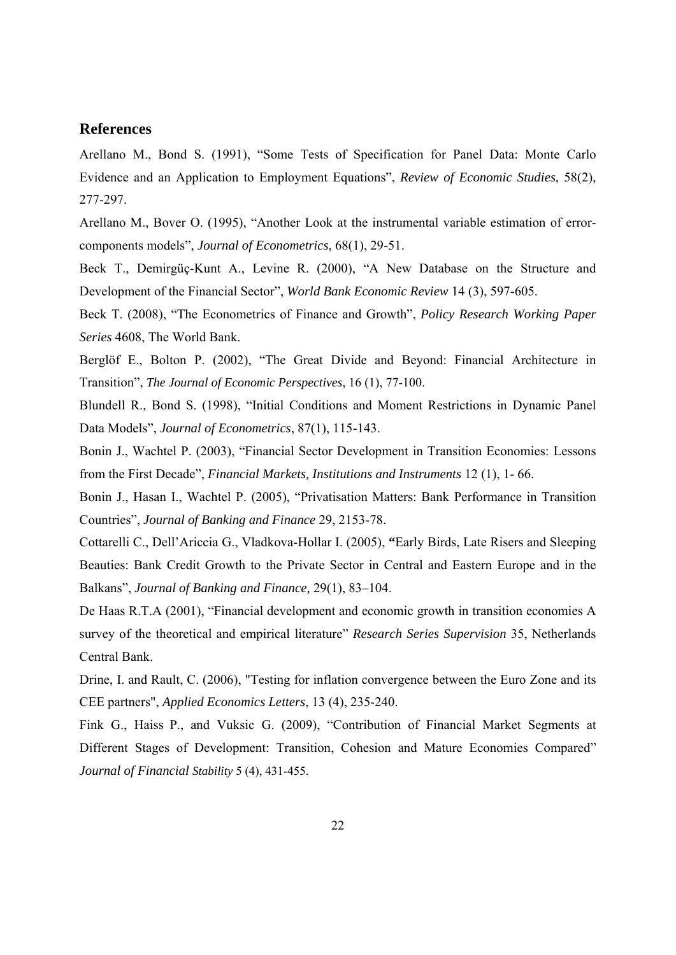#### **References**

Arellano M., Bond S. (1991), "Some Tests of Specification for Panel Data: Monte Carlo Evidence and an Application to Employment Equations", *Review of Economic Studies*, 58(2), 277-297.

Arellano M., Bover O. (1995), "Another Look at the instrumental variable estimation of errorcomponents models", *Journal of Econometrics*, 68(1), 29-51.

Beck T., Demirgüç-Kunt A., Levine R. (2000), "A New Database on the Structure and Development of the Financial Sector", *World Bank Economic Review* 14 (3), 597-605.

Beck T. (2008), "The Econometrics of Finance and Growth", *Policy Research Working Paper Series* 4608, The World Bank.

Berglöf E., Bolton P. (2002), "The Great Divide and Beyond: Financial Architecture in Transition", *The Journal of Economic Perspectives*, 16 (1), 77-100.

Blundell R., Bond S. (1998), "Initial Conditions and Moment Restrictions in Dynamic Panel Data Models", *Journal of Econometrics*, 87(1), 115-143.

Bonin J., Wachtel P. (2003), "Financial Sector Development in Transition Economies: Lessons from the First Decade", *Financial Markets, Institutions and Instruments* 12 (1), 1- 66.

Bonin J., Hasan I., Wachtel P. (2005), "Privatisation Matters: Bank Performance in Transition Countries", *Journal of Banking and Finance* 29, 2153-78.

Cottarelli C., Dell'Ariccia G., Vladkova-Hollar I. (2005), **"**Early Birds, Late Risers and Sleeping Beauties: Bank Credit Growth to the Private Sector in Central and Eastern Europe and in the Balkans", *Journal of Banking and Finance,* 29(1), 83–104.

De Haas R.T.A (2001), "Financial development and economic growth in transition economies A survey of the theoretical and empirical literature" *Research Series Supervision* 35, Netherlands Central Bank.

Drine, I. and Rault, C. (2006), "Testing for inflation convergence between the Euro Zone and its CEE partners", *Applied Economics Letters*, 13 (4), 235-240.

Fink G., Haiss P., and Vuksic G. (2009), "Contribution of Financial Market Segments at Different Stages of Development: Transition, Cohesion and Mature Economies Compared" *Journal of Financial Stability* 5 (4), 431-455.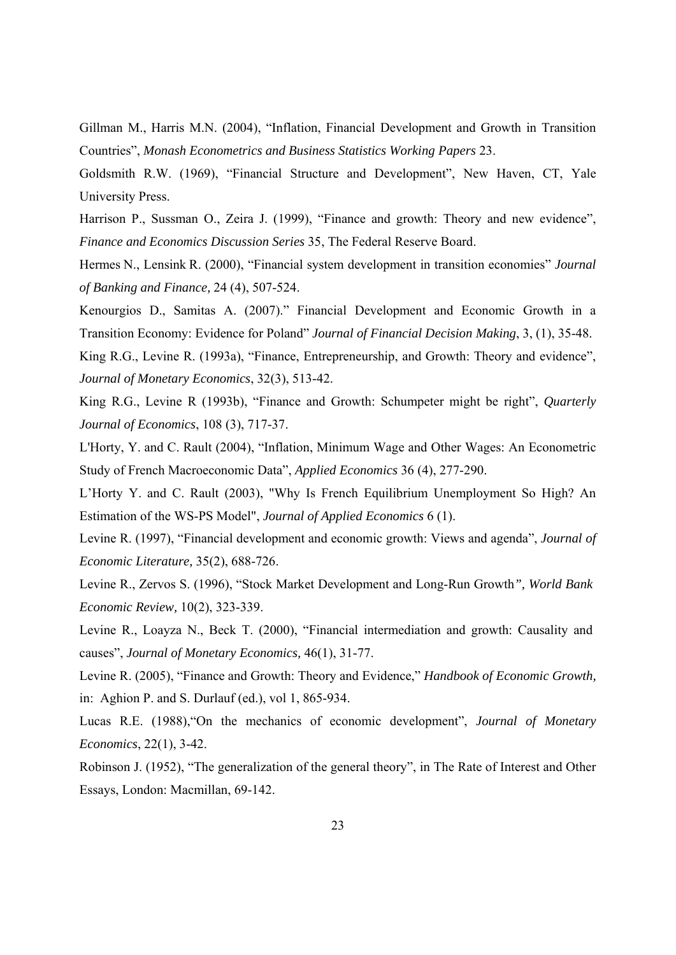Gillman M., Harris M.N. (2004), "Inflation, Financial Development and Growth in Transition Countries", *Monash Econometrics and Business Statistics Working Papers* 23.

Goldsmith R.W. (1969), "Financial Structure and Development", New Haven, CT, Yale University Press.

Harrison P., Sussman O., Zeira J. (1999), "Finance and growth: Theory and new evidence", *Finance and Economics Discussion Series* 35, The Federal Reserve Board.

Hermes N., Lensink R. (2000), "Financial system development in transition economies" *Journal of Banking and Finance,* 24 (4), 507-524.

Kenourgios D., Samitas A. (2007)." Financial Development and Economic Growth in a Transition Economy: Evidence for Poland" *Journal of Financial Decision Making*, 3, (1), 35-48.

King R.G., Levine R. (1993a), "Finance, Entrepreneurship, and Growth: Theory and evidence", *Journal of Monetary Economics*, 32(3), 513-42.

King R.G., Levine R (1993b), "Finance and Growth: Schumpeter might be right", *Quarterly Journal of Economics*, 108 (3), 717-37.

L'Horty, Y. and C. Rault (2004), "Inflation, Minimum Wage and Other Wages: An Econometric Study of French Macroeconomic Data", *Applied Economics* 36 (4), 277-290.

L'Horty Y. and C. Rault (2003), "Why Is French Equilibrium Unemployment So High? An Estimation of the WS-PS Model", *Journal of Applied Economics* 6 (1).

Levine R. (1997), "Financial development and economic growth: Views and agenda", *Journal of Economic Literature,* 35(2), 688-726.

Levine R., Zervos S. (1996), "Stock Market Development and Long-Run Growth*", World Bank Economic Review,* 10(2), 323-339.

Levine R., Loayza N., Beck T. (2000), "Financial intermediation and growth: Causality and causes", *Journal of Monetary Economics,* 46(1), 31-77.

Levine R. (2005), "Finance and Growth: Theory and Evidence," *Handbook of Economic Growth,* in: Aghion P. and S. Durlauf (ed.), vol 1, 865-934.

Lucas R.E. (1988),"On the mechanics of economic development", *Journal of Monetary Economics*, 22(1), 3-42.

Robinson J. (1952), "The generalization of the general theory", in The Rate of Interest and Other Essays, London: Macmillan, 69-142.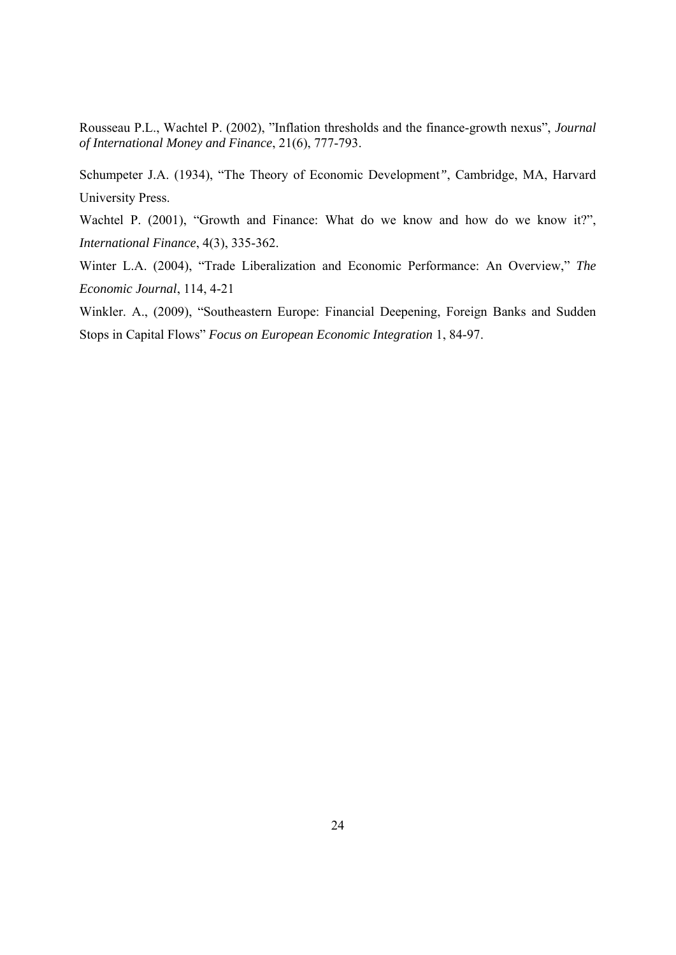Rousseau P.L., Wachtel P. (2002), "Inflation thresholds and the finance-growth nexus", *Journal of International Money and Finance*, 21(6), 777-793.

Schumpeter J.A. (1934), "The Theory of Economic Development*"*, Cambridge, MA, Harvard University Press.

Wachtel P. (2001), "Growth and Finance: What do we know and how do we know it?", *International Finance*, 4(3), 335-362.

Winter L.A. (2004), "Trade Liberalization and Economic Performance: An Overview," *The Economic Journal*, 114, 4-21

Winkler. A., (2009), "Southeastern Europe: Financial Deepening, Foreign Banks and Sudden Stops in Capital Flows" *Focus on European Economic Integration* 1, 84-97.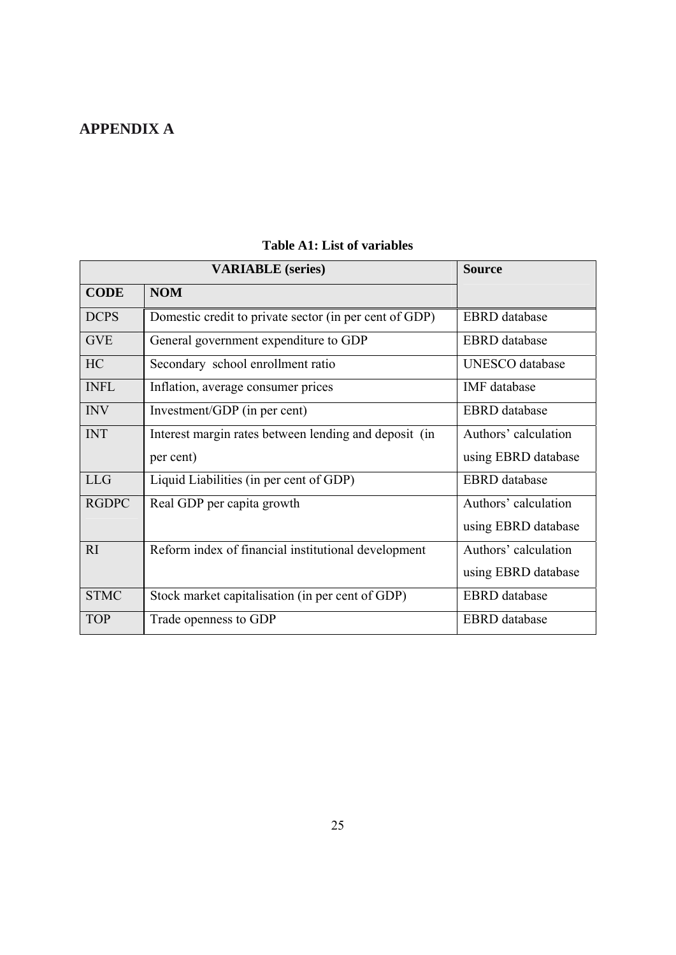## **APPENDIX A**

|               | <b>VARIABLE</b> (series)                               | <b>Source</b>          |
|---------------|--------------------------------------------------------|------------------------|
| <b>CODE</b>   | <b>NOM</b>                                             |                        |
| <b>DCPS</b>   | Domestic credit to private sector (in per cent of GDP) | <b>EBRD</b> database   |
| <b>GVE</b>    | General government expenditure to GDP                  | <b>EBRD</b> database   |
| HC            | Secondary school enrollment ratio                      | <b>UNESCO</b> database |
| <b>INFL</b>   | Inflation, average consumer prices                     | <b>IMF</b> database    |
| <b>INV</b>    | Investment/GDP (in per cent)                           | <b>EBRD</b> database   |
| <b>INT</b>    | Interest margin rates between lending and deposit (in  | Authors' calculation   |
|               | per cent)                                              | using EBRD database    |
| <b>LLG</b>    | Liquid Liabilities (in per cent of GDP)                | <b>EBRD</b> database   |
| <b>RGDPC</b>  | Real GDP per capita growth                             | Authors' calculation   |
|               |                                                        | using EBRD database    |
| <sub>RI</sub> | Reform index of financial institutional development    | Authors' calculation   |
|               |                                                        | using EBRD database    |
| <b>STMC</b>   | Stock market capitalisation (in per cent of GDP)       | <b>EBRD</b> database   |
| <b>TOP</b>    | Trade openness to GDP                                  | <b>EBRD</b> database   |

### **Table A1: List of variables**